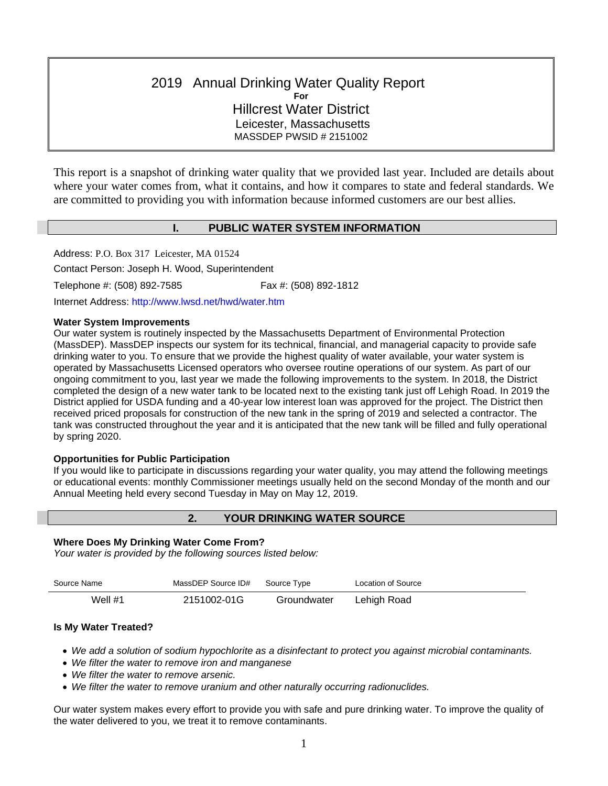# 2019 Annual Drinking Water Quality Report **For** Hillcrest Water District Leicester, Massachusetts MASSDEP PWSID # 2151002

This report is a snapshot of drinking water quality that we provided last year. Included are details about where your water comes from, what it contains, and how it compares to state and federal standards. We are committed to providing you with information because informed customers are our best allies.

# **I. PUBLIC WATER SYSTEM INFORMATION**

Address: P.O. Box 317 Leicester, MA 01524

Contact Person: Joseph H. Wood, Superintendent

Telephone #: (508) 892-7585 Fax #: (508) 892-1812

Internet Address: http://www.lwsd.net/hwd/water.htm

#### **Water System Improvements**

Our water system is routinely inspected by the Massachusetts Department of Environmental Protection (MassDEP). MassDEP inspects our system for its technical, financial, and managerial capacity to provide safe drinking water to you. To ensure that we provide the highest quality of water available, your water system is operated by Massachusetts Licensed operators who oversee routine operations of our system. As part of our ongoing commitment to you, last year we made the following improvements to the system. In 2018, the District completed the design of a new water tank to be located next to the existing tank just off Lehigh Road. In 2019 the District applied for USDA funding and a 40-year low interest loan was approved for the project. The District then received priced proposals for construction of the new tank in the spring of 2019 and selected a contractor. The tank was constructed throughout the year and it is anticipated that the new tank will be filled and fully operational by spring 2020.

# **Opportunities for Public Participation**

If you would like to participate in discussions regarding your water quality, you may attend the following meetings or educational events: monthly Commissioner meetings usually held on the second Monday of the month and our Annual Meeting held every second Tuesday in May on May 12, 2019.

# **2. YOUR DRINKING WATER SOURCE**

#### **Where Does My Drinking Water Come From?**

*Your water is provided by the following sources listed below:*

| Source Name | MassDEP Source ID# | Source Type | Location of Source |
|-------------|--------------------|-------------|--------------------|
| Well #1     | 2151002-01G        | Groundwater | Lehigh Road        |

#### **Is My Water Treated?**

• *We add a solution of sodium hypochlorite as a disinfectant to protect you against microbial contaminants.* 

- *We filter the water to remove iron and manganese*
- *We filter the water to remove arsenic.*
- *We filter the water to remove uranium and other naturally occurring radionuclides.*

Our water system makes every effort to provide you with safe and pure drinking water. To improve the quality of the water delivered to you, we treat it to remove contaminants.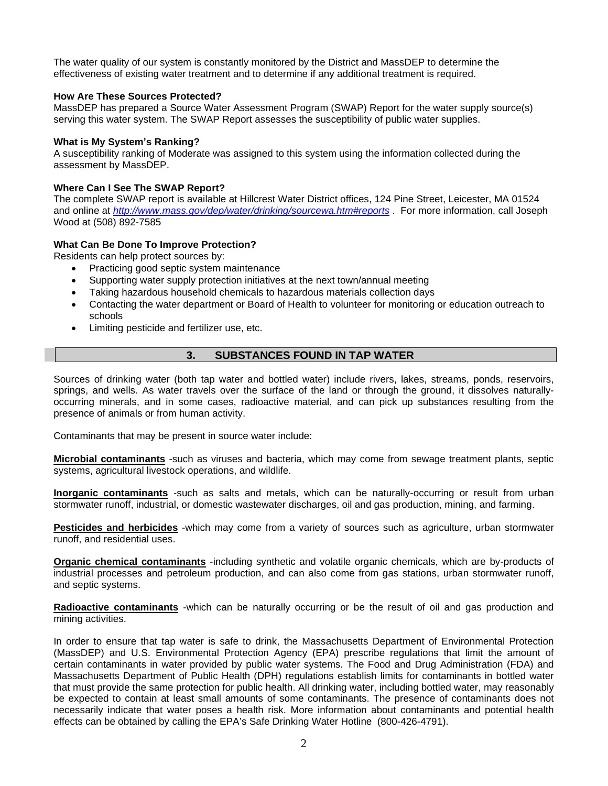The water quality of our system is constantly monitored by the District and MassDEP to determine the effectiveness of existing water treatment and to determine if any additional treatment is required.

#### **How Are These Sources Protected?**

MassDEP has prepared a Source Water Assessment Program (SWAP) Report for the water supply source(s) serving this water system. The SWAP Report assesses the susceptibility of public water supplies.

### **What is My System's Ranking?**

A susceptibility ranking of Moderate was assigned to this system using the information collected during the assessment by MassDEP.

### **Where Can I See The SWAP Report?**

The complete SWAP report is available at Hillcrest Water District offices, 124 Pine Street, Leicester, MA 01524 and online at *<http://www.mass.gov/dep/water/drinking/sourcewa.htm#reports>* . For more information, call Joseph Wood at (508) 892-7585

# **What Can Be Done To Improve Protection?**

Residents can help protect sources by:

- Practicing good septic system maintenance
- Supporting water supply protection initiatives at the next town/annual meeting
- Taking hazardous household chemicals to hazardous materials collection days
- Contacting the water department or Board of Health to volunteer for monitoring or education outreach to schools
- Limiting pesticide and fertilizer use, etc.

# **3. SUBSTANCES FOUND IN TAP WATER**

Sources of drinking water (both tap water and bottled water) include rivers, lakes, streams, ponds, reservoirs, springs, and wells. As water travels over the surface of the land or through the ground, it dissolves naturallyoccurring minerals, and in some cases, radioactive material, and can pick up substances resulting from the presence of animals or from human activity.

Contaminants that may be present in source water include:

**Microbial contaminants** -such as viruses and bacteria, which may come from sewage treatment plants, septic systems, agricultural livestock operations, and wildlife.

**Inorganic contaminants** -such as salts and metals, which can be naturally-occurring or result from urban stormwater runoff, industrial, or domestic wastewater discharges, oil and gas production, mining, and farming.

**Pesticides and herbicides** -which may come from a variety of sources such as agriculture, urban stormwater runoff, and residential uses.

**Organic chemical contaminants** -including synthetic and volatile organic chemicals, which are by-products of industrial processes and petroleum production, and can also come from gas stations, urban stormwater runoff, and septic systems.

**Radioactive contaminants** -which can be naturally occurring or be the result of oil and gas production and mining activities.

In order to ensure that tap water is safe to drink, the Massachusetts Department of Environmental Protection (MassDEP) and U.S. Environmental Protection Agency (EPA) prescribe regulations that limit the amount of certain contaminants in water provided by public water systems. The Food and Drug Administration (FDA) and Massachusetts Department of Public Health (DPH) regulations establish limits for contaminants in bottled water that must provide the same protection for public health. All drinking water, including bottled water, may reasonably be expected to contain at least small amounts of some contaminants. The presence of contaminants does not necessarily indicate that water poses a health risk. More information about contaminants and potential health effects can be obtained by calling the EPA's Safe Drinking Water Hotline (800-426-4791).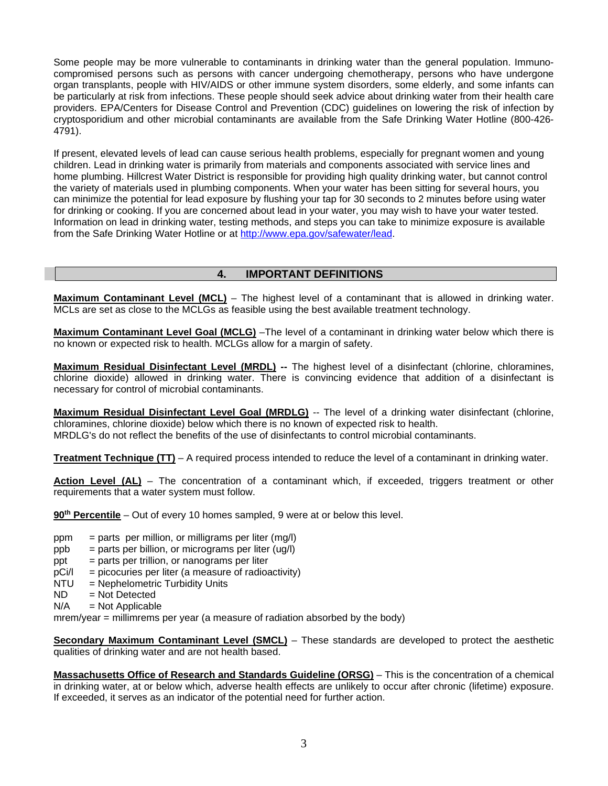Some people may be more vulnerable to contaminants in drinking water than the general population. Immunocompromised persons such as persons with cancer undergoing chemotherapy, persons who have undergone organ transplants, people with HIV/AIDS or other immune system disorders, some elderly, and some infants can be particularly at risk from infections. These people should seek advice about drinking water from their health care providers. EPA/Centers for Disease Control and Prevention (CDC) guidelines on lowering the risk of infection by cryptosporidium and other microbial contaminants are available from the Safe Drinking Water Hotline (800-426- 4791).

If present, elevated levels of lead can cause serious health problems, especially for pregnant women and young children. Lead in drinking water is primarily from materials and components associated with service lines and home plumbing. Hillcrest Water District is responsible for providing high quality drinking water, but cannot control the variety of materials used in plumbing components. When your water has been sitting for several hours, you can minimize the potential for lead exposure by flushing your tap for 30 seconds to 2 minutes before using water for drinking or cooking. If you are concerned about lead in your water, you may wish to have your water tested. Information on lead in drinking water, testing methods, and steps you can take to minimize exposure is available from the Safe Drinking Water Hotline or at [http://www.epa.gov/safewater/lead.](http://www.epa.gov/safewater/lead)

# **4. IMPORTANT DEFINITIONS**

**Maximum Contaminant Level (MCL)** – The highest level of a contaminant that is allowed in drinking water. MCLs are set as close to the MCLGs as feasible using the best available treatment technology.

**Maximum Contaminant Level Goal (MCLG)** –The level of a contaminant in drinking water below which there is no known or expected risk to health. MCLGs allow for a margin of safety.

**Maximum Residual Disinfectant Level (MRDL) --** The highest level of a disinfectant (chlorine, chloramines, chlorine dioxide) allowed in drinking water. There is convincing evidence that addition of a disinfectant is necessary for control of microbial contaminants.

**Maximum Residual Disinfectant Level Goal (MRDLG)** -- The level of a drinking water disinfectant (chlorine, chloramines, chlorine dioxide) below which there is no known of expected risk to health. MRDLG's do not reflect the benefits of the use of disinfectants to control microbial contaminants.

**Treatment Technique (TT)** – A required process intended to reduce the level of a contaminant in drinking water.

**Action Level (AL)** – The concentration of a contaminant which, if exceeded, triggers treatment or other requirements that a water system must follow.

**90th Percentile** – Out of every 10 homes sampled, 9 were at or below this level.

- $ppm = parts per million, or milligrams per liter (mg/l)$
- $ppb =$  parts per billion, or micrograms per liter (ug/l)
- $ppt = parts per trillion, or nanograms per liter$
- $pCi/I = picocuries per liter (a measure of radioactivity)$
- NTU = Nephelometric Turbidity Units
- $ND$  = Not Detected<br> $N/A$  = Not Applicable
- $=$  Not Applicable

mrem/year = millimrems per year (a measure of radiation absorbed by the body)

**Secondary Maximum Contaminant Level (SMCL)** – These standards are developed to protect the aesthetic qualities of drinking water and are not health based.

**Massachusetts Office of Research and Standards Guideline (ORSG)** – This is the concentration of a chemical in drinking water, at or below which, adverse health effects are unlikely to occur after chronic (lifetime) exposure. If exceeded, it serves as an indicator of the potential need for further action.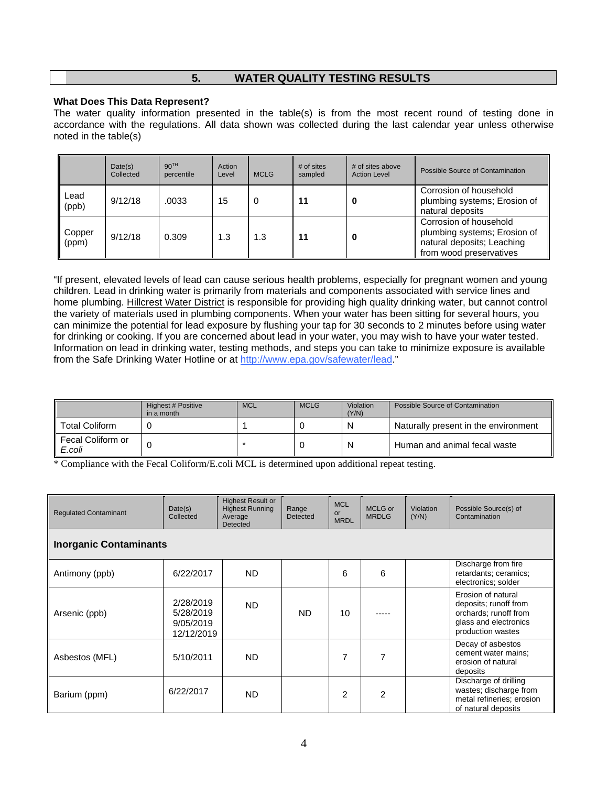# **5. WATER QUALITY TESTING RESULTS**

#### **What Does This Data Represent?**

The water quality information presented in the table(s) is from the most recent round of testing done in accordance with the regulations. All data shown was collected during the last calendar year unless otherwise noted in the table(s)

|                 | Date(s)<br>Collected | 90 <sup>TH</sup><br>percentile | Action<br>Level | <b>MCLG</b> | $#$ of sites<br>sampled | # of sites above<br><b>Action Level</b> | Possible Source of Contamination                                                                                |
|-----------------|----------------------|--------------------------------|-----------------|-------------|-------------------------|-----------------------------------------|-----------------------------------------------------------------------------------------------------------------|
| Lead<br>(ppb)   | 9/12/18              | .0033                          | 15              | 0           | 11                      | 0                                       | Corrosion of household<br>plumbing systems; Erosion of<br>natural deposits                                      |
| Copper<br>(ppm) | 9/12/18              | 0.309                          | 1.3             | 1.3         | 11                      |                                         | Corrosion of household<br>plumbing systems; Erosion of<br>natural deposits; Leaching<br>from wood preservatives |

"If present, elevated levels of lead can cause serious health problems, especially for pregnant women and young children. Lead in drinking water is primarily from materials and components associated with service lines and home plumbing. Hillcrest Water District is responsible for providing high quality drinking water, but cannot control the variety of materials used in plumbing components. When your water has been sitting for several hours, you can minimize the potential for lead exposure by flushing your tap for 30 seconds to 2 minutes before using water for drinking or cooking. If you are concerned about lead in your water, you may wish to have your water tested. Information on lead in drinking water, testing methods, and steps you can take to minimize exposure is available from the Safe Drinking Water Hotline or at [http://www.epa.gov/safewater/lead."](http://www.epa.gov/safewater/lead)

|                             | Highest # Positive<br>in a month | <b>MCL</b> | <b>MCLG</b> | Violation<br>(Y/N) | Possible Source of Contamination     |
|-----------------------------|----------------------------------|------------|-------------|--------------------|--------------------------------------|
| <b>Total Coliform</b>       |                                  |            |             | N                  | Naturally present in the environment |
| Fecal Coliform or<br>E.coli |                                  |            |             | N                  | Human and animal fecal waste         |

\* Compliance with the Fecal Coliform/E.coli MCL is determined upon additional repeat testing.

| <b>Regulated Contaminant</b>  | Date(s)<br>Collected                              | <b>Highest Result or</b><br><b>Highest Running</b><br>Average<br><b>Detected</b> | Range<br>Detected | <b>MCL</b><br>or<br><b>MRDL</b> | MCLG or<br><b>MRDLG</b> | <b>Violation</b><br>(Y/N) | Possible Source(s) of<br>Contamination                                                                             |  |  |  |  |
|-------------------------------|---------------------------------------------------|----------------------------------------------------------------------------------|-------------------|---------------------------------|-------------------------|---------------------------|--------------------------------------------------------------------------------------------------------------------|--|--|--|--|
| <b>Inorganic Contaminants</b> |                                                   |                                                                                  |                   |                                 |                         |                           |                                                                                                                    |  |  |  |  |
| Antimony (ppb)                | 6/22/2017                                         | ND.                                                                              |                   | 6                               | 6                       |                           | Discharge from fire<br>retardants; ceramics;<br>electronics; solder                                                |  |  |  |  |
| Arsenic (ppb)                 | 2/28/2019<br>5/28/2019<br>9/05/2019<br>12/12/2019 | ND.                                                                              | ND.               | 10                              |                         |                           | Erosion of natural<br>deposits; runoff from<br>orchards; runoff from<br>glass and electronics<br>production wastes |  |  |  |  |
| Asbestos (MFL)                | 5/10/2011                                         | ND.                                                                              |                   | $\overline{7}$                  |                         |                           | Decay of asbestos<br>cement water mains:<br>erosion of natural<br>deposits                                         |  |  |  |  |
| Barium (ppm)                  | 6/22/2017                                         | ND.                                                                              |                   | $\overline{2}$                  | $\mathcal{P}$           |                           | Discharge of drilling<br>wastes; discharge from<br>metal refineries; erosion<br>of natural deposits                |  |  |  |  |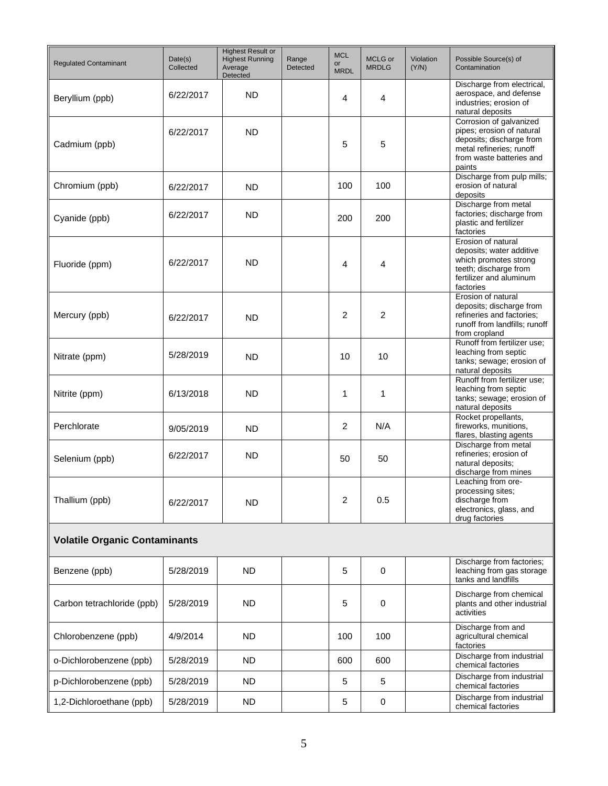| <b>Regulated Contaminant</b>         | Date(s)<br>Collected | <b>Highest Result or</b><br><b>Highest Running</b><br>Average<br>Detected | Range<br><b>Detected</b> | <b>MCL</b><br><b>or</b><br><b>MRDL</b> | MCLG or<br><b>MRDLG</b> | Violation<br>(Y/N) | Possible Source(s) of<br>Contamination                                                                                                             |
|--------------------------------------|----------------------|---------------------------------------------------------------------------|--------------------------|----------------------------------------|-------------------------|--------------------|----------------------------------------------------------------------------------------------------------------------------------------------------|
| Beryllium (ppb)                      | 6/22/2017            | <b>ND</b>                                                                 |                          | 4                                      | 4                       |                    | Discharge from electrical,<br>aerospace, and defense<br>industries: erosion of<br>natural deposits                                                 |
| Cadmium (ppb)                        | 6/22/2017            | <b>ND</b>                                                                 |                          | 5                                      | 5                       |                    | Corrosion of galvanized<br>pipes; erosion of natural<br>deposits; discharge from<br>metal refineries; runoff<br>from waste batteries and<br>paints |
| Chromium (ppb)                       | 6/22/2017            | <b>ND</b>                                                                 |                          | 100                                    | 100                     |                    | Discharge from pulp mills;<br>erosion of natural<br>deposits                                                                                       |
| Cyanide (ppb)                        | 6/22/2017            | <b>ND</b>                                                                 |                          | 200                                    | 200                     |                    | Discharge from metal<br>factories; discharge from<br>plastic and fertilizer<br>factories                                                           |
| Fluoride (ppm)                       | 6/22/2017            | <b>ND</b>                                                                 |                          | 4                                      | 4                       |                    | Erosion of natural<br>deposits; water additive<br>which promotes strong<br>teeth; discharge from<br>fertilizer and aluminum<br>factories           |
| Mercury (ppb)                        | 6/22/2017            | <b>ND</b>                                                                 |                          | 2                                      | 2                       |                    | Erosion of natural<br>deposits; discharge from<br>refineries and factories:<br>runoff from landfills; runoff<br>from cropland                      |
| Nitrate (ppm)                        | 5/28/2019            | <b>ND</b>                                                                 |                          | 10                                     | 10                      |                    | Runoff from fertilizer use;<br>leaching from septic<br>tanks; sewage; erosion of<br>natural deposits                                               |
| Nitrite (ppm)                        | 6/13/2018            | <b>ND</b>                                                                 |                          | 1                                      | 1                       |                    | Runoff from fertilizer use:<br>leaching from septic<br>tanks; sewage; erosion of<br>natural deposits                                               |
| Perchlorate                          | 9/05/2019            | ND                                                                        |                          | 2                                      | N/A                     |                    | Rocket propellants,<br>fireworks, munitions,<br>flares, blasting agents                                                                            |
| Selenium (ppb)                       | 6/22/2017            | <b>ND</b>                                                                 |                          | 50                                     | 50                      |                    | Discharge from metal<br>refineries; erosion of<br>natural deposits;<br>discharge from mines                                                        |
| Thallium (ppb)                       | 6/22/2017            | <b>ND</b>                                                                 |                          | 2                                      | 0.5                     |                    | Leaching from ore-<br>processing sites;<br>discharge from<br>electronics, glass, and<br>drug factories                                             |
| <b>Volatile Organic Contaminants</b> |                      |                                                                           |                          |                                        |                         |                    |                                                                                                                                                    |
| Benzene (ppb)                        | 5/28/2019            | <b>ND</b>                                                                 |                          | 5                                      | 0                       |                    | Discharge from factories;<br>leaching from gas storage<br>tanks and landfills                                                                      |
| Carbon tetrachloride (ppb)           | 5/28/2019            | <b>ND</b>                                                                 |                          | 5                                      | 0                       |                    | Discharge from chemical<br>plants and other industrial<br>activities                                                                               |
| Chlorobenzene (ppb)                  | 4/9/2014             | <b>ND</b>                                                                 |                          | 100                                    | 100                     |                    | Discharge from and<br>agricultural chemical<br>factories                                                                                           |
| o-Dichlorobenzene (ppb)              | 5/28/2019            | <b>ND</b>                                                                 |                          | 600                                    | 600                     |                    | Discharge from industrial<br>chemical factories                                                                                                    |
| p-Dichlorobenzene (ppb)              | 5/28/2019            | <b>ND</b>                                                                 |                          | 5                                      | 5                       |                    | Discharge from industrial<br>chemical factories                                                                                                    |
| 1,2-Dichloroethane (ppb)             | 5/28/2019            | <b>ND</b>                                                                 |                          | 5                                      | 0                       |                    | Discharge from industrial<br>chemical factories                                                                                                    |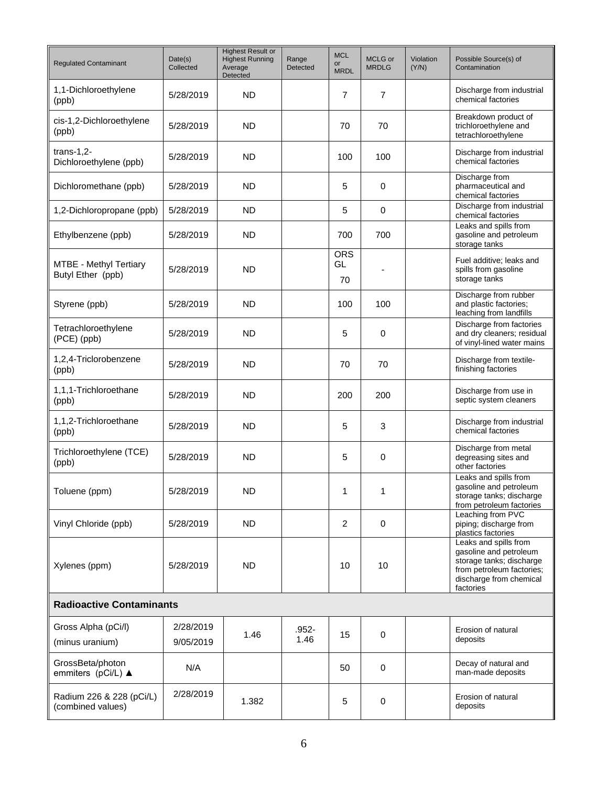| <b>Regulated Contaminant</b>                       | Date(s)<br>Collected   | <b>Highest Result or</b><br><b>Highest Running</b><br>Average<br>Detected | Range<br>Detected | <b>MCL</b><br>or<br><b>MRDL</b> | MCLG or<br><b>MRDLG</b> | Violation<br>(Y/N) | Possible Source(s) of<br>Contamination                                                                                                           |
|----------------------------------------------------|------------------------|---------------------------------------------------------------------------|-------------------|---------------------------------|-------------------------|--------------------|--------------------------------------------------------------------------------------------------------------------------------------------------|
| 1,1-Dichloroethylene<br>(ppb)                      | 5/28/2019              | <b>ND</b>                                                                 |                   | 7                               | $\overline{7}$          |                    | Discharge from industrial<br>chemical factories                                                                                                  |
| cis-1,2-Dichloroethylene<br>(ppb)                  | 5/28/2019              | <b>ND</b>                                                                 |                   | 70                              | 70                      |                    | Breakdown product of<br>trichloroethylene and<br>tetrachloroethylene                                                                             |
| $trans-1,2$ -<br>Dichloroethylene (ppb)            | 5/28/2019              | <b>ND</b>                                                                 |                   | 100                             | 100                     |                    | Discharge from industrial<br>chemical factories                                                                                                  |
| Dichloromethane (ppb)                              | 5/28/2019              | <b>ND</b>                                                                 |                   | 5                               | 0                       |                    | Discharge from<br>pharmaceutical and<br>chemical factories                                                                                       |
| 1,2-Dichloropropane (ppb)                          | 5/28/2019              | <b>ND</b>                                                                 |                   | 5                               | $\mathbf 0$             |                    | Discharge from industrial<br>chemical factories                                                                                                  |
| Ethylbenzene (ppb)                                 | 5/28/2019              | <b>ND</b>                                                                 |                   | 700                             | 700                     |                    | Leaks and spills from<br>gasoline and petroleum<br>storage tanks                                                                                 |
| <b>MTBE - Methyl Tertiary</b><br>Butyl Ether (ppb) | 5/28/2019              | <b>ND</b>                                                                 |                   | <b>ORS</b><br>GL<br>70          |                         |                    | Fuel additive; leaks and<br>spills from gasoline<br>storage tanks                                                                                |
| Styrene (ppb)                                      | 5/28/2019              | <b>ND</b>                                                                 |                   | 100                             | 100                     |                    | Discharge from rubber<br>and plastic factories;<br>leaching from landfills                                                                       |
| Tetrachloroethylene<br>(PCE) (ppb)                 | 5/28/2019              | <b>ND</b>                                                                 |                   | 5                               | $\mathbf 0$             |                    | Discharge from factories<br>and dry cleaners; residual<br>of vinyl-lined water mains                                                             |
| 1,2,4-Triclorobenzene<br>(ppb)                     | 5/28/2019              | <b>ND</b>                                                                 |                   | 70                              | 70                      |                    | Discharge from textile-<br>finishing factories                                                                                                   |
| 1,1,1-Trichloroethane<br>(ppb)                     | 5/28/2019              | <b>ND</b>                                                                 |                   | 200                             | 200                     |                    | Discharge from use in<br>septic system cleaners                                                                                                  |
| 1,1,2-Trichloroethane<br>(ppb)                     | 5/28/2019              | <b>ND</b>                                                                 |                   | 5                               | 3                       |                    | Discharge from industrial<br>chemical factories                                                                                                  |
| Trichloroethylene (TCE)<br>(ppb)                   | 5/28/2019              | <b>ND</b>                                                                 |                   | 5                               | $\mathbf 0$             |                    | Discharge from metal<br>degreasing sites and<br>other factories                                                                                  |
| Toluene (ppm)                                      | 5/28/2019              | ND.                                                                       |                   | 1                               | 1                       |                    | Leaks and spills from<br>gasoline and petroleum<br>storage tanks; discharge<br>from petroleum factories                                          |
| Vinyl Chloride (ppb)                               | 5/28/2019              | <b>ND</b>                                                                 |                   | 2                               | $\mathbf 0$             |                    | Leaching from PVC<br>piping; discharge from<br>plastics factories                                                                                |
| Xylenes (ppm)                                      | 5/28/2019              | <b>ND</b>                                                                 |                   | 10                              | 10                      |                    | Leaks and spills from<br>gasoline and petroleum<br>storage tanks; discharge<br>from petroleum factories;<br>discharge from chemical<br>factories |
| <b>Radioactive Contaminants</b>                    |                        |                                                                           |                   |                                 |                         |                    |                                                                                                                                                  |
| Gross Alpha (pCi/l)<br>(minus uranium)             | 2/28/2019<br>9/05/2019 | 1.46                                                                      | .952-<br>1.46     | 15                              | $\mathbf 0$             |                    | Erosion of natural<br>deposits                                                                                                                   |
| GrossBeta/photon<br>emmiters (pCi/L) ▲             | N/A                    |                                                                           |                   | 50                              | $\mathbf 0$             |                    | Decay of natural and<br>man-made deposits                                                                                                        |
| Radium 226 & 228 (pCi/L)<br>(combined values)      | 2/28/2019              | 1.382                                                                     |                   | 5                               | 0                       |                    | Erosion of natural<br>deposits                                                                                                                   |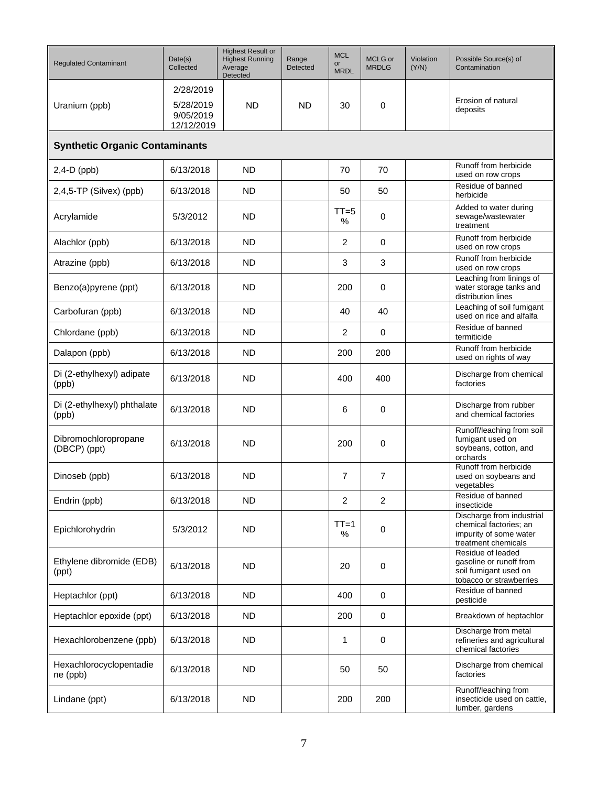| <b>Regulated Contaminant</b>          | Date(s)<br>Collected                              | <b>Highest Result or</b><br><b>Highest Running</b><br>Average<br>Detected | Range<br>Detected | <b>MCL</b><br>or<br><b>MRDL</b> | MCLG or<br><b>MRDLG</b> | Violation<br>(Y/N) | Possible Source(s) of<br>Contamination                                                               |  |  |  |  |
|---------------------------------------|---------------------------------------------------|---------------------------------------------------------------------------|-------------------|---------------------------------|-------------------------|--------------------|------------------------------------------------------------------------------------------------------|--|--|--|--|
| Uranium (ppb)                         | 2/28/2019<br>5/28/2019<br>9/05/2019<br>12/12/2019 | <b>ND</b>                                                                 | <b>ND</b>         | 30                              | 0                       |                    | Erosion of natural<br>deposits                                                                       |  |  |  |  |
| <b>Synthetic Organic Contaminants</b> |                                                   |                                                                           |                   |                                 |                         |                    |                                                                                                      |  |  |  |  |
| $2,4-D$ (ppb)                         | 6/13/2018                                         | <b>ND</b>                                                                 |                   | 70                              | 70                      |                    | Runoff from herbicide<br>used on row crops                                                           |  |  |  |  |
| 2,4,5-TP (Silvex) (ppb)               | 6/13/2018                                         | <b>ND</b>                                                                 |                   | 50                              | 50                      |                    | Residue of banned<br>herbicide                                                                       |  |  |  |  |
| Acrylamide                            | 5/3/2012                                          | <b>ND</b>                                                                 |                   | $TT = 5$<br>$\frac{0}{0}$       | 0                       |                    | Added to water during<br>sewage/wastewater<br>treatment                                              |  |  |  |  |
| Alachlor (ppb)                        | 6/13/2018                                         | <b>ND</b>                                                                 |                   | 2                               | $\mathbf 0$             |                    | Runoff from herbicide<br>used on row crops                                                           |  |  |  |  |
| Atrazine (ppb)                        | 6/13/2018                                         | <b>ND</b>                                                                 |                   | 3                               | 3                       |                    | Runoff from herbicide<br>used on row crops                                                           |  |  |  |  |
| Benzo(a)pyrene (ppt)                  | 6/13/2018                                         | <b>ND</b>                                                                 |                   | 200                             | 0                       |                    | Leaching from linings of<br>water storage tanks and<br>distribution lines                            |  |  |  |  |
| Carbofuran (ppb)                      | 6/13/2018                                         | <b>ND</b>                                                                 |                   | 40                              | 40                      |                    | Leaching of soil fumigant<br>used on rice and alfalfa                                                |  |  |  |  |
| Chlordane (ppb)                       | 6/13/2018                                         | <b>ND</b>                                                                 |                   | 2                               | $\mathbf 0$             |                    | Residue of banned<br>termiticide                                                                     |  |  |  |  |
| Dalapon (ppb)                         | 6/13/2018                                         | <b>ND</b>                                                                 |                   | 200                             | 200                     |                    | Runoff from herbicide<br>used on rights of way                                                       |  |  |  |  |
| Di (2-ethylhexyl) adipate<br>(ppb)    | 6/13/2018                                         | <b>ND</b>                                                                 |                   | 400                             | 400                     |                    | Discharge from chemical<br>factories                                                                 |  |  |  |  |
| Di (2-ethylhexyl) phthalate<br>(ppb)  | 6/13/2018                                         | <b>ND</b>                                                                 |                   | 6                               | 0                       |                    | Discharge from rubber<br>and chemical factories                                                      |  |  |  |  |
| Dibromochloropropane<br>(DBCP) (ppt)  | 6/13/2018                                         | <b>ND</b>                                                                 |                   | 200                             | 0                       |                    | Runoff/leaching from soil<br>fumigant used on<br>soybeans, cotton, and<br>orchards                   |  |  |  |  |
| Dinoseb (ppb)                         | 6/13/2018                                         | <b>ND</b>                                                                 |                   | 7                               | $\overline{7}$          |                    | Runoff from herbicide<br>used on soybeans and<br>vegetables                                          |  |  |  |  |
| Endrin (ppb)                          | 6/13/2018                                         | <b>ND</b>                                                                 |                   | $\overline{c}$                  | 2                       |                    | Residue of banned<br>insecticide                                                                     |  |  |  |  |
| Epichlorohydrin                       | 5/3/2012                                          | <b>ND</b>                                                                 |                   | $TT=1$<br>%                     | $\mathbf 0$             |                    | Discharge from industrial<br>chemical factories; an<br>impurity of some water<br>treatment chemicals |  |  |  |  |
| Ethylene dibromide (EDB)<br>(ppt)     | 6/13/2018                                         | <b>ND</b>                                                                 |                   | 20                              | 0                       |                    | Residue of leaded<br>gasoline or runoff from<br>soil fumigant used on<br>tobacco or strawberries     |  |  |  |  |
| Heptachlor (ppt)                      | 6/13/2018                                         | <b>ND</b>                                                                 |                   | 400                             | $\mathbf 0$             |                    | Residue of banned<br>pesticide                                                                       |  |  |  |  |
| Heptachlor epoxide (ppt)              | 6/13/2018                                         | <b>ND</b>                                                                 |                   | 200                             | $\mathbf 0$             |                    | Breakdown of heptachlor                                                                              |  |  |  |  |
| Hexachlorobenzene (ppb)               | 6/13/2018                                         | <b>ND</b>                                                                 |                   | 1                               | 0                       |                    | Discharge from metal<br>refineries and agricultural<br>chemical factories                            |  |  |  |  |
| Hexachlorocyclopentadie<br>ne (ppb)   | 6/13/2018                                         | <b>ND</b>                                                                 |                   | 50                              | 50                      |                    | Discharge from chemical<br>factories                                                                 |  |  |  |  |
| Lindane (ppt)                         | 6/13/2018                                         | <b>ND</b>                                                                 |                   | 200                             | 200                     |                    | Runoff/leaching from<br>insecticide used on cattle,<br>lumber, gardens                               |  |  |  |  |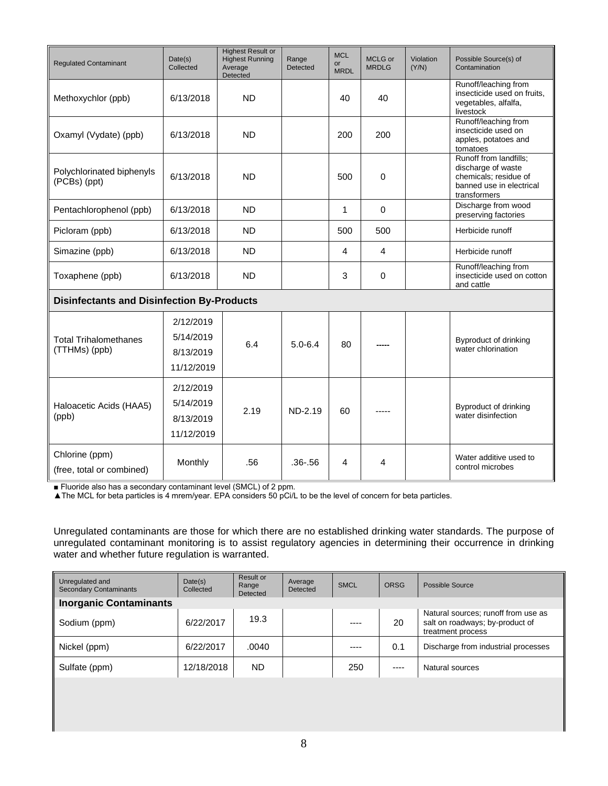| <b>Regulated Contaminant</b>                      | Date(s)<br>Collected                              | <b>Highest Result or</b><br><b>Highest Running</b><br>Average<br>Detected | Range<br><b>Detected</b> | <b>MCL</b><br>or<br><b>MRDL</b> | <b>MCLG</b> or<br><b>MRDLG</b> | Violation<br>(Y/N) | Possible Source(s) of<br>Contamination                                                                            |
|---------------------------------------------------|---------------------------------------------------|---------------------------------------------------------------------------|--------------------------|---------------------------------|--------------------------------|--------------------|-------------------------------------------------------------------------------------------------------------------|
| Methoxychlor (ppb)                                | 6/13/2018                                         | <b>ND</b>                                                                 |                          | 40                              | 40                             |                    | Runoff/leaching from<br>insecticide used on fruits,<br>vegetables, alfalfa,<br>livestock                          |
| Oxamyl (Vydate) (ppb)                             | 6/13/2018                                         | <b>ND</b>                                                                 |                          | 200                             | 200                            |                    | Runoff/leaching from<br>insecticide used on<br>apples, potatoes and<br>tomatoes                                   |
| Polychlorinated biphenyls<br>(PCBs) (ppt)         | 6/13/2018                                         | <b>ND</b>                                                                 |                          | 500                             | $\mathbf 0$                    |                    | Runoff from landfills;<br>discharge of waste<br>chemicals; residue of<br>banned use in electrical<br>transformers |
| Pentachlorophenol (ppb)                           | 6/13/2018                                         | <b>ND</b>                                                                 |                          | 1                               | $\mathbf 0$                    |                    | Discharge from wood<br>preserving factories                                                                       |
| Picloram (ppb)                                    | 6/13/2018                                         | <b>ND</b>                                                                 |                          | 500                             | 500                            |                    | Herbicide runoff                                                                                                  |
| Simazine (ppb)                                    | 6/13/2018                                         | <b>ND</b>                                                                 |                          | 4                               | 4                              |                    | Herbicide runoff                                                                                                  |
| Toxaphene (ppb)                                   | 6/13/2018                                         | <b>ND</b>                                                                 |                          | 3                               | 0                              |                    | Runoff/leaching from<br>insecticide used on cotton<br>and cattle                                                  |
| <b>Disinfectants and Disinfection By-Products</b> |                                                   |                                                                           |                          |                                 |                                |                    |                                                                                                                   |
| <b>Total Trihalomethanes</b><br>(TTHMs) (ppb)     | 2/12/2019<br>5/14/2019<br>8/13/2019<br>11/12/2019 | 6.4                                                                       | $5.0 - 6.4$              | 80                              |                                |                    | Byproduct of drinking<br>water chlorination                                                                       |
| Haloacetic Acids (HAA5)<br>(ppb)                  | 2/12/2019<br>5/14/2019<br>8/13/2019<br>11/12/2019 | 2.19                                                                      | ND-2.19                  | 60                              |                                |                    | Byproduct of drinking<br>water disinfection                                                                       |
| Chlorine (ppm)<br>(free, total or combined)       | Monthly                                           | .56                                                                       | $.36 - .56$              | 4                               | 4                              |                    | Water additive used to<br>control microbes                                                                        |

■ Fluoride also has a secondary contaminant level (SMCL) of 2 ppm.

▲The MCL for beta particles is 4 mrem/year. EPA considers 50 pCi/L to be the level of concern for beta particles.

Unregulated contaminants are those for which there are no established drinking water standards. The purpose of unregulated contaminant monitoring is to assist regulatory agencies in determining their occurrence in drinking water and whether future regulation is warranted.

| Unregulated and<br><b>Secondary Contaminants</b> | Date(s)<br>Collected | Result or<br>Range<br>Detected | Average<br><b>Detected</b> | <b>SMCL</b> | <b>ORSG</b> | Possible Source                                                                             |
|--------------------------------------------------|----------------------|--------------------------------|----------------------------|-------------|-------------|---------------------------------------------------------------------------------------------|
| <b>Inorganic Contaminants</b>                    |                      |                                |                            |             |             |                                                                                             |
| Sodium (ppm)                                     | 6/22/2017            | 19.3                           |                            | ----        | 20          | Natural sources; runoff from use as<br>salt on roadways; by-product of<br>treatment process |
| Nickel (ppm)                                     | 6/22/2017            | .0040                          |                            | $- - - -$   | 0.1         | Discharge from industrial processes                                                         |
| Sulfate (ppm)                                    | 12/18/2018           | ND.                            |                            | 250         | $- - - -$   | Natural sources                                                                             |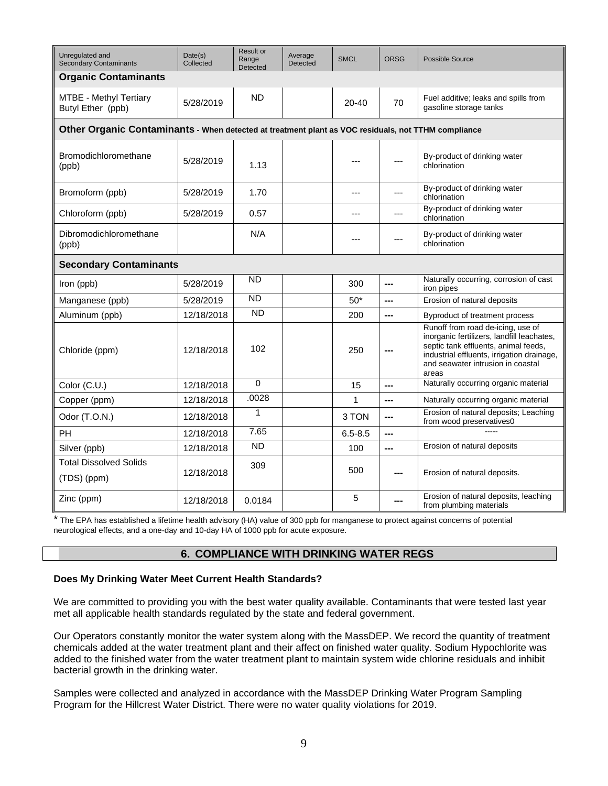| Unregulated and<br><b>Secondary Contaminants</b>                                                    | Date(s)<br>Collected | Result or<br>Range<br>Detected | Average<br>Detected | <b>SMCL</b> | <b>ORSG</b>    | Possible Source                                                                                                                                                                                                     |  |  |  |  |
|-----------------------------------------------------------------------------------------------------|----------------------|--------------------------------|---------------------|-------------|----------------|---------------------------------------------------------------------------------------------------------------------------------------------------------------------------------------------------------------------|--|--|--|--|
| <b>Organic Contaminants</b>                                                                         |                      |                                |                     |             |                |                                                                                                                                                                                                                     |  |  |  |  |
| <b>MTBE - Methyl Tertiary</b><br>Butyl Ether (ppb)                                                  | 5/28/2019            | <b>ND</b>                      |                     | $20 - 40$   | 70             | Fuel additive; leaks and spills from<br>gasoline storage tanks                                                                                                                                                      |  |  |  |  |
| Other Organic Contaminants - When detected at treatment plant as VOC residuals, not TTHM compliance |                      |                                |                     |             |                |                                                                                                                                                                                                                     |  |  |  |  |
| Bromodichloromethane<br>(ppb)                                                                       | 5/28/2019            | 1.13                           |                     |             |                | By-product of drinking water<br>chlorination                                                                                                                                                                        |  |  |  |  |
| Bromoform (ppb)                                                                                     | 5/28/2019            | 1.70                           |                     | ---         | ---            | By-product of drinking water<br>chlorination                                                                                                                                                                        |  |  |  |  |
| Chloroform (ppb)                                                                                    | 5/28/2019            | 0.57                           |                     | ---         | ---            | By-product of drinking water<br>chlorination                                                                                                                                                                        |  |  |  |  |
| Dibromodichloromethane<br>(ppb)                                                                     |                      | N/A                            |                     | ---         | ---            | By-product of drinking water<br>chlorination                                                                                                                                                                        |  |  |  |  |
| <b>Secondary Contaminants</b>                                                                       |                      |                                |                     |             |                |                                                                                                                                                                                                                     |  |  |  |  |
| Iron (ppb)                                                                                          | 5/28/2019            | <b>ND</b>                      |                     | 300         | ---            | Naturally occurring, corrosion of cast<br>iron pipes                                                                                                                                                                |  |  |  |  |
| Manganese (ppb)                                                                                     | 5/28/2019            | <b>ND</b>                      |                     | $50*$       | $---$          | Erosion of natural deposits                                                                                                                                                                                         |  |  |  |  |
| Aluminum (ppb)                                                                                      | 12/18/2018           | <b>ND</b>                      |                     | 200         | ---            | Byproduct of treatment process                                                                                                                                                                                      |  |  |  |  |
| Chloride (ppm)                                                                                      | 12/18/2018           | 102                            |                     | 250         |                | Runoff from road de-icing, use of<br>inorganic fertilizers, landfill leachates,<br>septic tank effluents, animal feeds,<br>industrial effluents, irrigation drainage,<br>and seawater intrusion in coastal<br>areas |  |  |  |  |
| Color (C.U.)                                                                                        | 12/18/2018           | 0                              |                     | 15          | ---            | Naturally occurring organic material                                                                                                                                                                                |  |  |  |  |
| Copper (ppm)                                                                                        | 12/18/2018           | .0028                          |                     | 1           | $\overline{a}$ | Naturally occurring organic material                                                                                                                                                                                |  |  |  |  |
| Odor (T.O.N.)                                                                                       | 12/18/2018           | 1                              |                     | 3 TON       | ---            | Erosion of natural deposits; Leaching<br>from wood preservatives0                                                                                                                                                   |  |  |  |  |
| PН                                                                                                  | 12/18/2018           | 7.65                           |                     | $6.5 - 8.5$ | ---            |                                                                                                                                                                                                                     |  |  |  |  |
| Silver (ppb)                                                                                        | 12/18/2018           | <b>ND</b>                      |                     | 100         | $\overline{a}$ | Erosion of natural deposits                                                                                                                                                                                         |  |  |  |  |
| Total Dissolved Solids<br>(TDS) (ppm)                                                               | 12/18/2018           | 309                            |                     | 500         |                | Erosion of natural deposits.                                                                                                                                                                                        |  |  |  |  |
| Zinc (ppm)                                                                                          | 12/18/2018           | 0.0184                         |                     | 5           |                | Erosion of natural deposits, leaching<br>from plumbing materials                                                                                                                                                    |  |  |  |  |

\* The EPA has established a lifetime health advisory (HA) value of 300 ppb for manganese to protect against concerns of potential neurological effects, and a one-day and 10-day HA of 1000 ppb for acute exposure.

# **6. COMPLIANCE WITH DRINKING WATER REGS**

#### **Does My Drinking Water Meet Current Health Standards?**

We are committed to providing you with the best water quality available. Contaminants that were tested last year met all applicable health standards regulated by the state and federal government.

Our Operators constantly monitor the water system along with the MassDEP. We record the quantity of treatment chemicals added at the water treatment plant and their affect on finished water quality. Sodium Hypochlorite was added to the finished water from the water treatment plant to maintain system wide chlorine residuals and inhibit bacterial growth in the drinking water.

Samples were collected and analyzed in accordance with the MassDEP Drinking Water Program Sampling Program for the Hillcrest Water District. There were no water quality violations for 2019.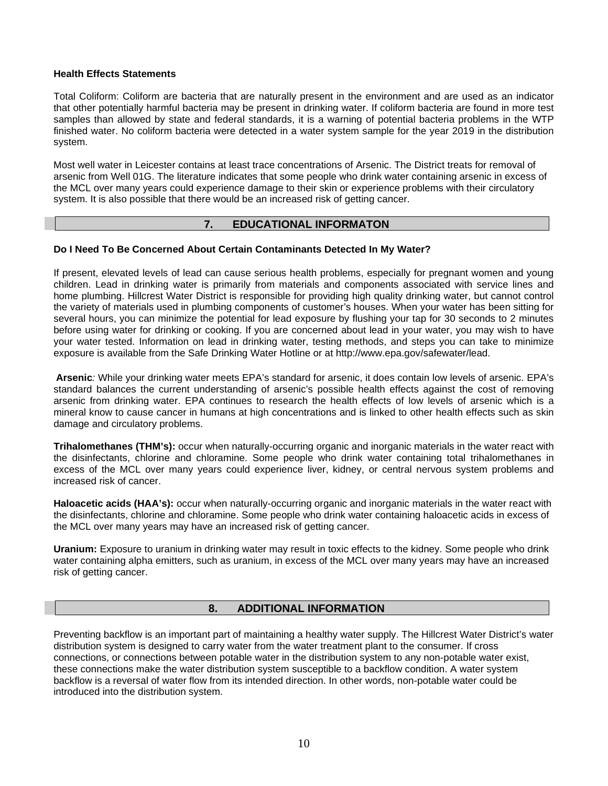#### **Health Effects Statements**

Total Coliform: Coliform are bacteria that are naturally present in the environment and are used as an indicator that other potentially harmful bacteria may be present in drinking water. If coliform bacteria are found in more test samples than allowed by state and federal standards, it is a warning of potential bacteria problems in the WTP finished water. No coliform bacteria were detected in a water system sample for the year 2019 in the distribution system.

Most well water in Leicester contains at least trace concentrations of Arsenic. The District treats for removal of arsenic from Well 01G. The literature indicates that some people who drink water containing arsenic in excess of the MCL over many years could experience damage to their skin or experience problems with their circulatory system. It is also possible that there would be an increased risk of getting cancer.

#### **7. EDUCATIONAL INFORMATON**

#### **Do I Need To Be Concerned About Certain Contaminants Detected In My Water?**

If present, elevated levels of lead can cause serious health problems, especially for pregnant women and young children. Lead in drinking water is primarily from materials and components associated with service lines and home plumbing. Hillcrest Water District is responsible for providing high quality drinking water, but cannot control the variety of materials used in plumbing components of customer's houses. When your water has been sitting for several hours, you can minimize the potential for lead exposure by flushing your tap for 30 seconds to 2 minutes before using water for drinking or cooking. If you are concerned about lead in your water, you may wish to have your water tested. Information on lead in drinking water, testing methods, and steps you can take to minimize exposure is available from the Safe Drinking Water Hotline or at [http://www.epa.gov/safewater/lead.](http://www.epa.gov/safewater/lead)

**Arsenic***:* While your drinking water meets EPA's standard for arsenic, it does contain low levels of arsenic. EPA's standard balances the current understanding of arsenic's possible health effects against the cost of removing arsenic from drinking water. EPA continues to research the health effects of low levels of arsenic which is a mineral know to cause cancer in humans at high concentrations and is linked to other health effects such as skin damage and circulatory problems.

**Trihalomethanes (THM's):** occur when naturally-occurring organic and inorganic materials in the water react with the disinfectants, chlorine and chloramine. Some people who drink water containing total trihalomethanes in excess of the MCL over many years could experience liver, kidney, or central nervous system problems and increased risk of cancer.

**Haloacetic acids (HAA's):** occur when naturally-occurring organic and inorganic materials in the water react with the disinfectants, chlorine and chloramine. Some people who drink water containing haloacetic acids in excess of the MCL over many years may have an increased risk of getting cancer.

**Uranium:** Exposure to uranium in drinking water may result in toxic effects to the kidney. Some people who drink water containing alpha emitters, such as uranium, in excess of the MCL over many years may have an increased risk of getting cancer.

# **8. ADDITIONAL INFORMATION**

Preventing backflow is an important part of maintaining a healthy water supply. The Hillcrest Water District's water distribution system is designed to carry water from the water treatment plant to the consumer. If cross connections, or connections between potable water in the distribution system to any non-potable water exist, these connections make the water distribution system susceptible to a backflow condition. A water system backflow is a reversal of water flow from its intended direction. In other words, non-potable water could be introduced into the distribution system.